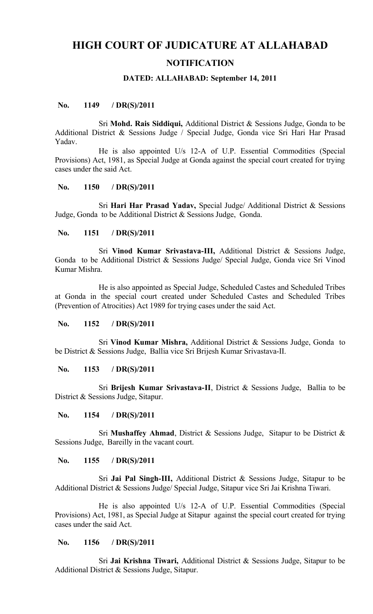# **HIGH COURT OF JUDICATURE AT ALLAHABAD**

## **NOTIFICATION**

#### **DATED: ALLAHABAD: September 14, 2011**

## **No. 1149 / DR(S)/2011**

Sri **Mohd. Rais Siddiqui,** Additional District & Sessions Judge, Gonda to be Additional District & Sessions Judge / Special Judge, Gonda vice Sri Hari Har Prasad Yadav.

He is also appointed U/s 12-A of U.P. Essential Commodities (Special Provisions) Act, 1981, as Special Judge at Gonda against the special court created for trying cases under the said Act.

# **No. 1150 / DR(S)/2011**

Sri **Hari Har Prasad Yadav,** Special Judge/ Additional District & Sessions Judge, Gonda to be Additional District & Sessions Judge, Gonda.

## **No. 1151 / DR(S)/2011**

Sri **Vinod Kumar Srivastava-III,** Additional District & Sessions Judge, Gonda to be Additional District & Sessions Judge/ Special Judge, Gonda vice Sri Vinod Kumar Mishra.

He is also appointed as Special Judge, Scheduled Castes and Scheduled Tribes at Gonda in the special court created under Scheduled Castes and Scheduled Tribes (Prevention of Atrocities) Act 1989 for trying cases under the said Act.

#### **No. 1152 / DR(S)/2011**

Sri **Vinod Kumar Mishra,** Additional District & Sessions Judge, Gonda to be District & Sessions Judge, Ballia vice Sri Brijesh Kumar Srivastava-II.

## **No. 1153 / DR(S)/2011**

Sri **Brijesh Kumar Srivastava-II**, District & Sessions Judge, Ballia to be District & Sessions Judge, Sitapur.

#### **No. 1154 / DR(S)/2011**

Sri **Mushaffey Ahmad**, District & Sessions Judge, Sitapur to be District & Sessions Judge, Bareilly in the vacant court.

#### **No. 1155 / DR(S)/2011**

Sri **Jai Pal Singh-III,** Additional District & Sessions Judge, Sitapur to be Additional District & Sessions Judge/ Special Judge, Sitapur vice Sri Jai Krishna Tiwari.

He is also appointed U/s 12-A of U.P. Essential Commodities (Special Provisions) Act, 1981, as Special Judge at Sitapur against the special court created for trying cases under the said Act.

#### **No. 1156 / DR(S)/2011**

Sri **Jai Krishna Tiwari,** Additional District & Sessions Judge, Sitapur to be Additional District & Sessions Judge, Sitapur.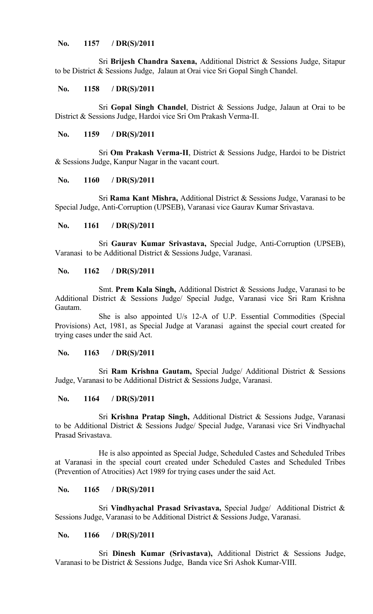# **No. 1157 / DR(S)/2011**

Sri **Brijesh Chandra Saxena,** Additional District & Sessions Judge, Sitapur to be District & Sessions Judge, Jalaun at Orai vice Sri Gopal Singh Chandel.

# **No. 1158 / DR(S)/2011**

Sri **Gopal Singh Chandel**, District & Sessions Judge, Jalaun at Orai to be District & Sessions Judge, Hardoi vice Sri Om Prakash Verma-II.

# **No. 1159 / DR(S)/2011**

Sri **Om Prakash Verma-II**, District & Sessions Judge, Hardoi to be District & Sessions Judge, Kanpur Nagar in the vacant court.

# **No. 1160 / DR(S)/2011**

Sri **Rama Kant Mishra,** Additional District & Sessions Judge, Varanasi to be Special Judge, Anti-Corruption (UPSEB), Varanasi vice Gaurav Kumar Srivastava.

# **No. 1161 / DR(S)/2011**

Sri **Gaurav Kumar Srivastava,** Special Judge, Anti-Corruption (UPSEB), Varanasi to be Additional District & Sessions Judge, Varanasi.

# **No. 1162 / DR(S)/2011**

Smt. **Prem Kala Singh,** Additional District & Sessions Judge, Varanasi to be Additional District & Sessions Judge/ Special Judge, Varanasi vice Sri Ram Krishna Gautam.

She is also appointed U/s 12-A of U.P. Essential Commodities (Special Provisions) Act, 1981, as Special Judge at Varanasi against the special court created for trying cases under the said Act.

## **No. 1163 / DR(S)/2011**

Sri **Ram Krishna Gautam,** Special Judge/ Additional District & Sessions Judge, Varanasi to be Additional District & Sessions Judge, Varanasi.

# **No. 1164 / DR(S)/2011**

Sri **Krishna Pratap Singh,** Additional District & Sessions Judge, Varanasi to be Additional District & Sessions Judge/ Special Judge, Varanasi vice Sri Vindhyachal Prasad Srivastava.

He is also appointed as Special Judge, Scheduled Castes and Scheduled Tribes at Varanasi in the special court created under Scheduled Castes and Scheduled Tribes (Prevention of Atrocities) Act 1989 for trying cases under the said Act.

#### **No. 1165 / DR(S)/2011**

Sri **Vindhyachal Prasad Srivastava,** Special Judge/ Additional District & Sessions Judge, Varanasi to be Additional District & Sessions Judge, Varanasi.

# **No. 1166 / DR(S)/2011**

Sri **Dinesh Kumar (Srivastava),** Additional District & Sessions Judge, Varanasi to be District & Sessions Judge, Banda vice Sri Ashok Kumar-VIII.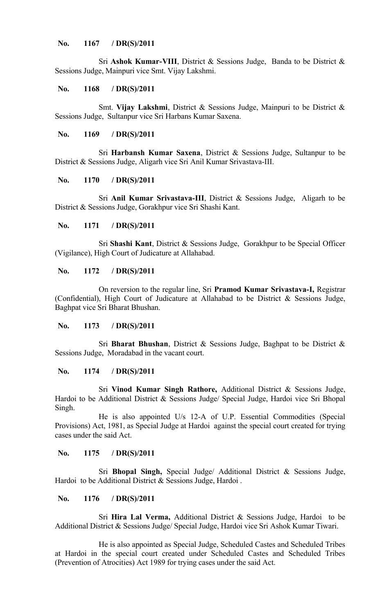# **No. 1167 / DR(S)/2011**

Sri **Ashok Kumar-VIII**, District & Sessions Judge, Banda to be District & Sessions Judge, Mainpuri vice Smt. Vijay Lakshmi.

## **No. 1168 / DR(S)/2011**

Smt. **Vijay Lakshmi**, District & Sessions Judge, Mainpuri to be District & Sessions Judge, Sultanpur vice Sri Harbans Kumar Saxena.

# **No. 1169 / DR(S)/2011**

Sri **Harbansh Kumar Saxena**, District & Sessions Judge, Sultanpur to be District & Sessions Judge, Aligarh vice Sri Anil Kumar Srivastava-III.

#### **No. 1170 / DR(S)/2011**

Sri **Anil Kumar Srivastava-III**, District & Sessions Judge, Aligarh to be District & Sessions Judge, Gorakhpur vice Sri Shashi Kant.

# **No. 1171 / DR(S)/2011**

Sri **Shashi Kant**, District & Sessions Judge, Gorakhpur to be Special Officer (Vigilance), High Court of Judicature at Allahabad.

## **No. 1172 / DR(S)/2011**

On reversion to the regular line, Sri **Pramod Kumar Srivastava-I,** Registrar (Confidential), High Court of Judicature at Allahabad to be District & Sessions Judge, Baghpat vice Sri Bharat Bhushan.

## **No. 1173 / DR(S)/2011**

Sri **Bharat Bhushan**, District & Sessions Judge, Baghpat to be District & Sessions Judge, Moradabad in the vacant court.

# **No. 1174 / DR(S)/2011**

Sri **Vinod Kumar Singh Rathore,** Additional District & Sessions Judge, Hardoi to be Additional District & Sessions Judge/ Special Judge, Hardoi vice Sri Bhopal Singh.

He is also appointed U/s 12-A of U.P. Essential Commodities (Special Provisions) Act, 1981, as Special Judge at Hardoi against the special court created for trying cases under the said Act.

## **No. 1175 / DR(S)/2011**

Sri **Bhopal Singh,** Special Judge/ Additional District & Sessions Judge, Hardoi to be Additional District & Sessions Judge, Hardoi.

#### **No. 1176 / DR(S)/2011**

Sri **Hira Lal Verma,** Additional District & Sessions Judge, Hardoi to be Additional District & Sessions Judge/ Special Judge, Hardoi vice Sri Ashok Kumar Tiwari.

He is also appointed as Special Judge, Scheduled Castes and Scheduled Tribes at Hardoi in the special court created under Scheduled Castes and Scheduled Tribes (Prevention of Atrocities) Act 1989 for trying cases under the said Act.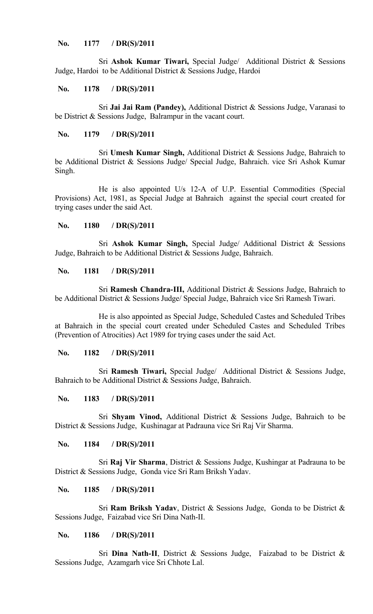# **No. 1177 / DR(S)/2011**

Sri **Ashok Kumar Tiwari,** Special Judge/ Additional District & Sessions Judge, Hardoi to be Additional District & Sessions Judge, Hardoi

#### **No. 1178 / DR(S)/2011**

Sri **Jai Jai Ram (Pandey),** Additional District & Sessions Judge, Varanasi to be District & Sessions Judge, Balrampur in the vacant court.

# **No. 1179 / DR(S)/2011**

Sri **Umesh Kumar Singh,** Additional District & Sessions Judge, Bahraich to be Additional District & Sessions Judge/ Special Judge, Bahraich. vice Sri Ashok Kumar Singh.

He is also appointed U/s 12-A of U.P. Essential Commodities (Special Provisions) Act, 1981, as Special Judge at Bahraich against the special court created for trying cases under the said Act.

# **No. 1180 / DR(S)/2011**

Sri **Ashok Kumar Singh,** Special Judge/ Additional District & Sessions Judge, Bahraich to be Additional District & Sessions Judge, Bahraich.

# **No. 1181 / DR(S)/2011**

Sri **Ramesh Chandra-III,** Additional District & Sessions Judge, Bahraich to be Additional District & Sessions Judge/ Special Judge, Bahraich vice Sri Ramesh Tiwari.

He is also appointed as Special Judge, Scheduled Castes and Scheduled Tribes at Bahraich in the special court created under Scheduled Castes and Scheduled Tribes (Prevention of Atrocities) Act 1989 for trying cases under the said Act.

# **No. 1182 / DR(S)/2011**

Sri **Ramesh Tiwari,** Special Judge/ Additional District & Sessions Judge, Bahraich to be Additional District & Sessions Judge, Bahraich.

## **No. 1183 / DR(S)/2011**

Sri **Shyam Vinod,** Additional District & Sessions Judge, Bahraich to be District & Sessions Judge, Kushinagar at Padrauna vice Sri Raj Vir Sharma.

### **No. 1184 / DR(S)/2011**

Sri **Raj Vir Sharma**, District & Sessions Judge, Kushingar at Padrauna to be District & Sessions Judge, Gonda vice Sri Ram Briksh Yadav.

#### **No. 1185 / DR(S)/2011**

Sri **Ram Briksh Yadav**, District & Sessions Judge, Gonda to be District & Sessions Judge, Faizabad vice Sri Dina Nath-II.

# **No. 1186 / DR(S)/2011**

Sri **Dina Nath-II**, District & Sessions Judge, Faizabad to be District & Sessions Judge, Azamgarh vice Sri Chhote Lal.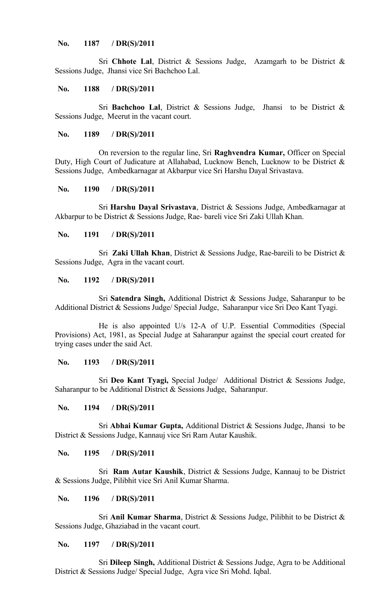# **No. 1187 / DR(S)/2011**

Sri **Chhote Lal**, District & Sessions Judge, Azamgarh to be District & Sessions Judge, Jhansi vice Sri Bachchoo Lal.

#### **No. 1188 / DR(S)/2011**

Sri **Bachchoo Lal**, District & Sessions Judge, Jhansi to be District & Sessions Judge, Meerut in the vacant court.

## **No. 1189 / DR(S)/2011**

On reversion to the regular line, Sri **Raghvendra Kumar,** Officer on Special Duty, High Court of Judicature at Allahabad, Lucknow Bench, Lucknow to be District & Sessions Judge, Ambedkarnagar at Akbarpur vice Sri Harshu Dayal Srivastava.

# **No. 1190 / DR(S)/2011**

Sri **Harshu Dayal Srivastava**, District & Sessions Judge, Ambedkarnagar at Akbarpur to be District & Sessions Judge, Rae- bareli vice Sri Zaki Ullah Khan.

# **No. 1191 / DR(S)/2011**

Sri **Zaki Ullah Khan**, District & Sessions Judge, Rae-bareili to be District & Sessions Judge, Agra in the vacant court.

#### **No. 1192 / DR(S)/2011**

Sri **Satendra Singh,** Additional District & Sessions Judge, Saharanpur to be Additional District & Sessions Judge/ Special Judge, Saharanpur vice Sri Deo Kant Tyagi.

He is also appointed U/s 12-A of U.P. Essential Commodities (Special Provisions) Act, 1981, as Special Judge at Saharanpur against the special court created for trying cases under the said Act.

#### **No. 1193 / DR(S)/2011**

Sri **Deo Kant Tyagi,** Special Judge/ Additional District & Sessions Judge, Saharanpur to be Additional District & Sessions Judge, Saharanpur.

# **No. 1194 / DR(S)/2011**

Sri **Abhai Kumar Gupta,** Additional District & Sessions Judge, Jhansi to be District & Sessions Judge, Kannauj vice Sri Ram Autar Kaushik.

# **No. 1195 / DR(S)/2011**

Sri **Ram Autar Kaushik**, District & Sessions Judge, Kannauj to be District & Sessions Judge, Pilibhit vice Sri Anil Kumar Sharma.

# **No. 1196 / DR(S)/2011**

Sri **Anil Kumar Sharma**, District & Sessions Judge, Pilibhit to be District & Sessions Judge, Ghaziabad in the vacant court.

#### **No. 1197 / DR(S)/2011**

Sri **Dileep Singh,** Additional District & Sessions Judge, Agra to be Additional District & Sessions Judge/ Special Judge, Agra vice Sri Mohd. Iqbal.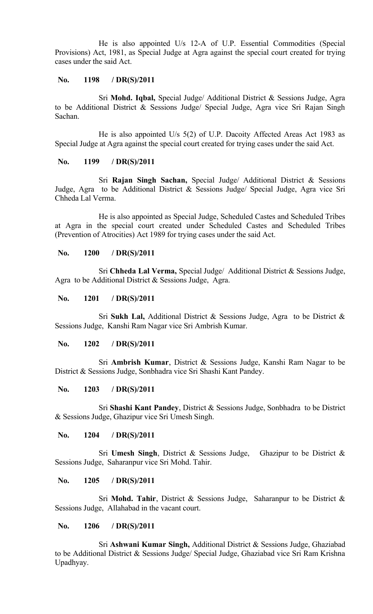He is also appointed U/s 12-A of U.P. Essential Commodities (Special Provisions) Act, 1981, as Special Judge at Agra against the special court created for trying cases under the said Act.

# **No. 1198 / DR(S)/2011**

Sri **Mohd. Iqbal,** Special Judge/ Additional District & Sessions Judge, Agra to be Additional District & Sessions Judge/ Special Judge, Agra vice Sri Rajan Singh Sachan.

He is also appointed U/s 5(2) of U.P. Dacoity Affected Areas Act 1983 as Special Judge at Agra against the special court created for trying cases under the said Act.

# **No. 1199 / DR(S)/2011**

Sri **Rajan Singh Sachan,** Special Judge/ Additional District & Sessions Judge, Agra to be Additional District & Sessions Judge/ Special Judge, Agra vice Sri Chheda Lal Verma.

He is also appointed as Special Judge, Scheduled Castes and Scheduled Tribes at Agra in the special court created under Scheduled Castes and Scheduled Tribes (Prevention of Atrocities) Act 1989 for trying cases under the said Act.

# **No. 1200 / DR(S)/2011**

Sri **Chheda Lal Verma,** Special Judge/ Additional District & Sessions Judge, Agra to be Additional District & Sessions Judge, Agra.

# **No. 1201 / DR(S)/2011**

Sri **Sukh Lal,** Additional District & Sessions Judge, Agra to be District & Sessions Judge, Kanshi Ram Nagar vice Sri Ambrish Kumar.

# **No. 1202 / DR(S)/2011**

Sri **Ambrish Kumar**, District & Sessions Judge, Kanshi Ram Nagar to be District & Sessions Judge, Sonbhadra vice Sri Shashi Kant Pandey.

#### **No. 1203 / DR(S)/2011**

Sri **Shashi Kant Pandey**, District & Sessions Judge, Sonbhadra to be District & Sessions Judge, Ghazipur vice Sri Umesh Singh.

# **No. 1204 / DR(S)/2011**

Sri **Umesh Singh**, District & Sessions Judge, Ghazipur to be District & Sessions Judge, Saharanpur vice Sri Mohd. Tahir.

## **No. 1205 / DR(S)/2011**

Sri **Mohd. Tahir**, District & Sessions Judge, Saharanpur to be District & Sessions Judge, Allahabad in the vacant court.

# **No. 1206 / DR(S)/2011**

Sri **Ashwani Kumar Singh,** Additional District & Sessions Judge, Ghaziabad to be Additional District & Sessions Judge/ Special Judge, Ghaziabad vice Sri Ram Krishna Upadhyay.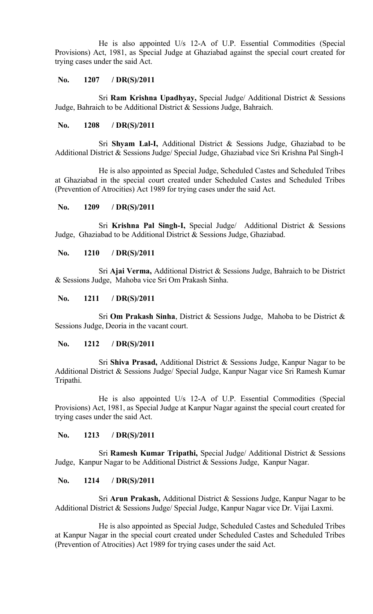He is also appointed U/s 12-A of U.P. Essential Commodities (Special Provisions) Act, 1981, as Special Judge at Ghaziabad against the special court created for trying cases under the said Act.

# **No. 1207 / DR(S)/2011**

Sri **Ram Krishna Upadhyay,** Special Judge/ Additional District & Sessions Judge, Bahraich to be Additional District & Sessions Judge, Bahraich.

# **No. 1208 / DR(S)/2011**

Sri **Shyam Lal-I,** Additional District & Sessions Judge, Ghaziabad to be Additional District & Sessions Judge/ Special Judge, Ghaziabad vice Sri Krishna Pal Singh-I

He is also appointed as Special Judge, Scheduled Castes and Scheduled Tribes at Ghaziabad in the special court created under Scheduled Castes and Scheduled Tribes (Prevention of Atrocities) Act 1989 for trying cases under the said Act.

# **No. 1209 / DR(S)/2011**

Sri **Krishna Pal Singh-I,** Special Judge/ Additional District & Sessions Judge, Ghaziabad to be Additional District & Sessions Judge, Ghaziabad.

# **No. 1210 / DR(S)/2011**

Sri **Ajai Verma,** Additional District & Sessions Judge, Bahraich to be District & Sessions Judge, Mahoba vice Sri Om Prakash Sinha.

#### **No. 1211 / DR(S)/2011**

Sri **Om Prakash Sinha**, District & Sessions Judge, Mahoba to be District & Sessions Judge, Deoria in the vacant court.

# **No. 1212 / DR(S)/2011**

Sri **Shiva Prasad,** Additional District & Sessions Judge, Kanpur Nagar to be Additional District & Sessions Judge/ Special Judge, Kanpur Nagar vice Sri Ramesh Kumar Tripathi.

He is also appointed U/s 12-A of U.P. Essential Commodities (Special Provisions) Act, 1981, as Special Judge at Kanpur Nagar against the special court created for trying cases under the said Act.

#### **No. 1213 / DR(S)/2011**

Sri **Ramesh Kumar Tripathi,** Special Judge/ Additional District & Sessions Judge, Kanpur Nagar to be Additional District & Sessions Judge, Kanpur Nagar.

## **No. 1214 / DR(S)/2011**

Sri **Arun Prakash,** Additional District & Sessions Judge, Kanpur Nagar to be Additional District & Sessions Judge/ Special Judge, Kanpur Nagar vice Dr. Vijai Laxmi.

He is also appointed as Special Judge, Scheduled Castes and Scheduled Tribes at Kanpur Nagar in the special court created under Scheduled Castes and Scheduled Tribes (Prevention of Atrocities) Act 1989 for trying cases under the said Act.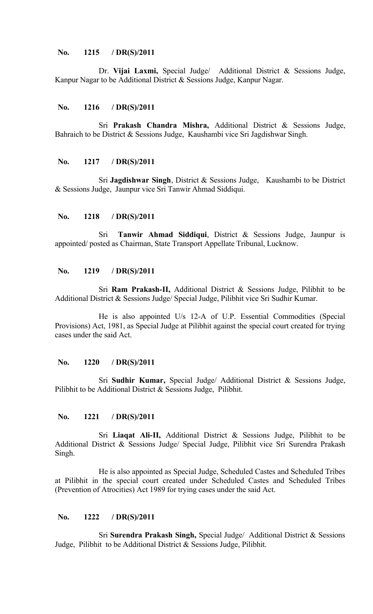# **No. 1215 / DR(S)/2011**

Dr. **Vijai Laxmi,** Special Judge/ Additional District & Sessions Judge, Kanpur Nagar to be Additional District & Sessions Judge, Kanpur Nagar.

#### **No. 1216 / DR(S)/2011**

Sri **Prakash Chandra Mishra,** Additional District & Sessions Judge, Bahraich to be District & Sessions Judge, Kaushambi vice Sri Jagdishwar Singh.

#### **No. 1217 / DR(S)/2011**

Sri **Jagdishwar Singh**, District & Sessions Judge, Kaushambi to be District & Sessions Judge, Jaunpur vice Sri Tanwir Ahmad Siddiqui.

## **No. 1218 / DR(S)/2011**

Sri **Tanwir Ahmad Siddiqui**, District & Sessions Judge, Jaunpur is appointed/ posted as Chairman, State Transport Appellate Tribunal, Lucknow.

## **No. 1219 / DR(S)/2011**

Sri **Ram Prakash-II,** Additional District & Sessions Judge, Pilibhit to be Additional District & Sessions Judge/ Special Judge, Pilibhit vice Sri Sudhir Kumar.

He is also appointed U/s 12-A of U.P. Essential Commodities (Special Provisions) Act, 1981, as Special Judge at Pilibhit against the special court created for trying cases under the said Act.

#### **No. 1220 / DR(S)/2011**

Sri **Sudhir Kumar,** Special Judge/ Additional District & Sessions Judge, Pilibhit to be Additional District & Sessions Judge, Pilibhit.

# **No. 1221 / DR(S)/2011**

Sri **Liaqat Ali-II,** Additional District & Sessions Judge, Pilibhit to be Additional District & Sessions Judge/ Special Judge, Pilibhit vice Sri Surendra Prakash Singh.

He is also appointed as Special Judge, Scheduled Castes and Scheduled Tribes at Pilibhit in the special court created under Scheduled Castes and Scheduled Tribes (Prevention of Atrocities) Act 1989 for trying cases under the said Act.

## **No. 1222 / DR(S)/2011**

Sri **Surendra Prakash Singh,** Special Judge/ Additional District & Sessions Judge, Pilibhit to be Additional District & Sessions Judge, Pilibhit.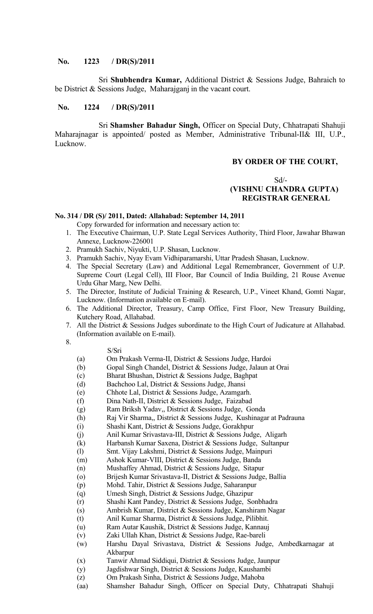# **No. 1223 / DR(S)/2011**

Sri **Shubhendra Kumar,** Additional District & Sessions Judge, Bahraich to be District & Sessions Judge, Maharajganj in the vacant court.

## **No. 1224 / DR(S)/2011**

Sri **Shamsher Bahadur Singh,** Officer on Special Duty, Chhatrapati Shahuji Maharajnagar is appointed/ posted as Member, Administrative Tribunal-II& III, U.P., Lucknow.

## **BY ORDER OF THE COURT,**

# Sd/-  **(VISHNU CHANDRA GUPTA) REGISTRAR GENERAL**

#### **No. 314 / DR (S)/ 2011, Dated: Allahabad: September 14, 2011**

Copy forwarded for information and necessary action to:

- 1. The Executive Chairman, U.P. State Legal Services Authority, Third Floor, Jawahar Bhawan Annexe, Lucknow-226001
- 2. Pramukh Sachiv, Niyukti, U.P. Shasan, Lucknow.
- 3. Pramukh Sachiv, Nyay Evam Vidhiparamarshi, Uttar Pradesh Shasan, Lucknow.
- 4. The Special Secretary (Law) and Additional Legal Remembrancer, Government of U.P. Supreme Court (Legal Cell), III Floor, Bar Council of India Building, 21 Rouse Avenue Urdu Ghar Marg, New Delhi.
- 5. The Director, Institute of Judicial Training & Research, U.P., Vineet Khand, Gomti Nagar, Lucknow. (Information available on E-mail).
- 6. The Additional Director, Treasury, Camp Office, First Floor, New Treasury Building, Kutchery Road, Allahabad.
- 7. All the District & Sessions Judges subordinate to the High Court of Judicature at Allahabad. (Information available on E-mail).

8.

- S/Sri
- (a) Om Prakash Verma-II, District & Sessions Judge, Hardoi
- (b) Gopal Singh Chandel, District & Sessions Judge, Jalaun at Orai
- (c) Bharat Bhushan, District & Sessions Judge, Baghpat
- (d) Bachchoo Lal, District & Sessions Judge, Jhansi
- (e) Chhote Lal, District & Sessions Judge, Azamgarh.
- (f) Dina Nath-II, District & Sessions Judge, Faizabad
- (g) Ram Briksh Yadav,, District & Sessions Judge, Gonda
- (h) Raj Vir Sharma,, District & Sessions Judge, Kushinagar at Padrauna
- (i) Shashi Kant, District & Sessions Judge, Gorakhpur
- (j) Anil Kumar Srivastava-III, District & Sessions Judge, Aligarh
- (k) Harbansh Kumar Saxena, District & Sessions Judge, Sultanpur
- (l) Smt. Vijay Lakshmi, District & Sessions Judge, Mainpuri
- (m) Ashok Kumar-VIII, District & Sessions Judge, Banda
- (n) Mushaffey Ahmad, District & Sessions Judge, Sitapur
- (o) Brijesh Kumar Srivastava-II, District & Sessions Judge, Ballia
- (p) Mohd. Tahir, District & Sessions Judge, Saharanpur
- (q) Umesh Singh, District & Sessions Judge, Ghazipur
- (r) Shashi Kant Pandey, District & Sessions Judge, Sonbhadra
- (s) Ambrish Kumar, District & Sessions Judge, Kanshiram Nagar
- (t) Anil Kumar Sharma, District & Sessions Judge, Pilibhit.
- (u) Ram Autar Kaushik, District & Sessions Judge, Kannauj
- (v) Zaki Ullah Khan, District & Sessions Judge, Rae-bareli
- (w) Harshu Dayal Srivastava, District & Sessions Judge, Ambedkarnagar at Akbarpur
- (x) Tanwir Ahmad Siddiqui, District & Sessions Judge, Jaunpur
- (y) Jagdishwar Singh, District & Sessions Judge, Kaushambi
- (z) Om Prakash Sinha, District & Sessions Judge, Mahoba
- (aa) Shamsher Bahadur Singh, Officer on Special Duty, Chhatrapati Shahuji